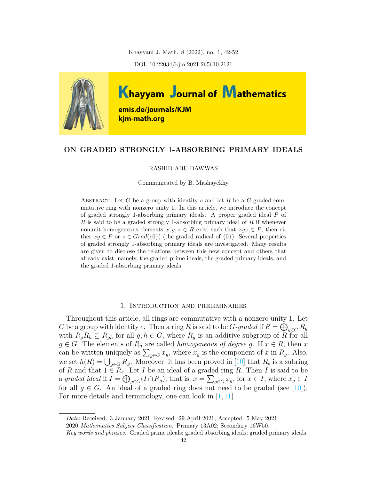Khayyam J. Math. 8 (2022), no. 1, 42-52

DOI: 10.22034/kjm.2021.265610.2121



# **ON GRADED STRONGLY** 1**-ABSORBING PRIMARY IDEALS**

#### RASHID ABU-DAWWAS

Communicated by B. Mashayekhy

ABSTRACT. Let *G* be a group with identity  $e$  and let  $R$  be a *G*-graded commutative ring with nonzero unity 1. In this article, we introduce the concept of graded strongly 1-absorbing primary ideals. A proper graded ideal *P* of *R* is said to be a graded strongly 1-absorbing primary ideal of *R* if whenever nonunit homogeneous elements  $x, y, z \in R$  exist such that  $xyz \in P$ , then either  $xy \in P$  or  $z \in Grad({0})$  (the graded radical of  ${0}$ ). Several properties of graded strongly 1-absorbing primary ideals are investigated. Many results are given to disclose the relations between this new concept and others that already exist, namely, the graded prime ideals, the graded primary ideals, and the graded 1-absorbing primary ideals.

### 1. Introduction and preliminaries

Throughout this article, all rings are commutative with a nonzero unity 1. Let *G* be a group with identity *e*. Then a ring *R* is said to be *G-graded* if  $R = \bigoplus_{g \in G} R_g$ with  $R_g R_h \subseteq R_{gh}$  for all  $g, h \in G$ , where  $R_g$  is an additive subgroup of *R* for all  $g \in G$ . The elements of  $R_g$  are called *homogeneous of degree g*. If  $x \in R$ , then *x* can be written uniquely as  $\sum_{g \in G} x_g$ , where  $x_g$  is the component of *x* in  $R_g$ . Also, we set  $h(R) = \bigcup_{g \in G} R_g$ . Moreover, it has been proved in [\[10\]](#page-10-0) that  $R_e$  is a subring of *R* and that  $1 \in R_e$ . Let *I* be an ideal of a graded ring *R*. Then *I* is said to be a graded ideal if  $I = \bigoplus_{g \in G} (I \cap R_g)$ , that is,  $x = \sum_{g \in G} x_g$ , for  $x \in I$ , where  $x_g \in I$ for all  $q \in G$ . An ideal of a graded ring does not need to be graded (see [\[10](#page-10-0)]). For more details and terminology, one can look in [[1](#page-9-0), [11\]](#page-10-1).

*Date*: Received: 3 January 2021; Revised: 29 April 2021; Accepted: 5 May 2021.

2020 *Mathematics Subject Classification.* Primary 13A02; Secondary 16W50.

*Key words and phrases.* Graded prime ideals; graded absorbing ideals; graded primary ideals.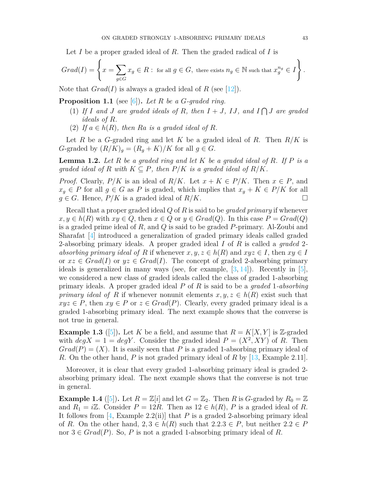Let *I* be a proper graded ideal of *R*. Then the graded radical of *I* is

$$
Grad(I) = \left\{ x = \sum_{g \in G} x_g \in R : \text{ for all } g \in G, \text{ there exists } n_g \in \mathbb{N} \text{ such that } x_g^{n_g} \in I \right\}.
$$

Note that  $Grad(I)$  is always a graded ideal of *R* (see [\[12](#page-10-2)]).

<span id="page-1-0"></span>**Proposition 1.1** (see [\[6](#page-10-3)])**.** *Let R be a G-graded ring.*

- (1) If *I* and *J* are graded ideals of *R*, then  $I + J$ , IJ, and  $I \bigcap J$  are graded *ideals of R.*
- (2) If  $a \in h(R)$ , then  $Ra$  is a graded ideal of  $R$ .

Let *R* be a *G*-graded ring and let *K* be a graded ideal of *R*. Then *R/K* is *G*-graded by  $(R/K)_q = (R_q + K)/K$  for all  $q \in G$ .

**Lemma 1.2.** *Let R be a graded ring and let K be a graded ideal of R. If P is a graded ideal of*  $R$  *with*  $K \subseteq P$ *, then*  $P/K$  *is a graded ideal of*  $R/K$ *.* 

*Proof.* Clearly,  $P/K$  is an ideal of  $R/K$ . Let  $x + K \in P/K$ . Then  $x \in P$ , and *x*<sup>*g*</sup>  $∈$  *P* for all *g*  $∈$  *G* as *P* is graded, which implies that *x<sub>g</sub>* + *K*  $∈$  *P/K* for all  $g \in G$ . Hence,  $P/K$  is a graded ideal of  $R/K$ .

Recall that a proper graded ideal *Q* of *R* is said to be *graded primary* if whenever  $x, y \in h(R)$  with  $xy \in Q$ , then  $x \in Q$  or  $y \in Grad(Q)$ . In this case  $P = Grad(Q)$ is a graded prime ideal of *R*, and *Q* is said to be graded *P*-primary. Al-Zoubi and Sharafat [\[4](#page-10-4)] introduced a generalization of graded primary ideals called graded 2-absorbing primary ideals. A proper graded ideal *I* of *R* is called a *graded* 2 *absorbing primary ideal of R* if whenever  $x, y, z \in h(R)$  and  $xyz \in I$ , then  $xy \in I$ or  $xz \in Grad(I)$  or  $yz \in Grad(I)$ . The concept of graded 2-absorbing primary ideals is generalized in many ways (see, for example, [[3,](#page-10-5) [14\]](#page-10-6)). Recently in [[5\]](#page-10-7), we considered a new class of graded ideals called the class of graded 1-absorbing primary ideals. A proper graded ideal *P* of *R* is said to be a *graded* 1*-absorbing primary ideal of R* if whenever nonunit elements  $x, y, z \in h(R)$  exist such that  $xyz \in P$ , then  $xy \in P$  or  $z \in Grad(P)$ . Clearly, every graded primary ideal is a graded 1-absorbing primary ideal. The next example shows that the converse is not true in general.

**Example 1.3** ([\[5](#page-10-7)]). Let *K* be a field, and assume that  $R = K[X, Y]$  is Z-graded with  $deg X = 1 = deg Y$ . Consider the graded ideal  $P = (X^2, XY)$  of R. Then  $Grad(P) = (X)$ . It is easily seen that P is a graded 1-absorbing primary ideal of *R*. On the other hand, *P* is not graded primary ideal of *R* by [\[13,](#page-10-8) Example 2.11].

Moreover, it is clear that every graded 1-absorbing primary ideal is graded 2 absorbing primary ideal. The next example shows that the converse is not true in general.

**Example 1.4** ([\[5\]](#page-10-7)). Let  $R = \mathbb{Z}[i]$  and let  $G = \mathbb{Z}_2$ . Then R is G-graded by  $R_0 = \mathbb{Z}$ and  $R_1 = i\mathbb{Z}$ . Consider  $P = 12R$ . Then as  $12 \in h(R)$ , P is a graded ideal of R. It follows from  $[4, \text{Example } 2.2(i) ]$  that *P* is a graded 2-absorbing primary ideal of *R*. On the other hand,  $2, 3 \in h(R)$  such that  $2.2.3 \in P$ , but neither  $2.2 \in P$ nor  $3 \in Grad(P)$ . So, *P* is not a graded 1-absorbing primary ideal of *R*.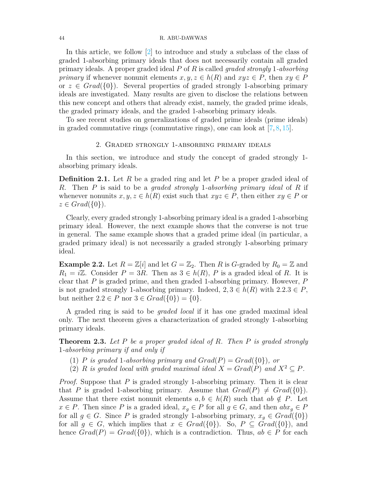#### 44 R. ABU-DAWWAS

In this article, we follow [[2\]](#page-9-1) to introduce and study a subclass of the class of graded 1-absorbing primary ideals that does not necessarily contain all graded primary ideals. A proper graded ideal *P* of *R* is called *graded strongly* 1*-absorbing primary* if whenever nonunit elements  $x, y, z \in h(R)$  and  $xyz \in P$ , then  $xy \in P$ or  $z \in Grad({0})$ . Several properties of graded strongly 1-absorbing primary ideals are investigated. Many results are given to disclose the relations between this new concept and others that already exist, namely, the graded prime ideals, the graded primary ideals, and the graded 1-absorbing primary ideals.

To see recent studies on generalizations of graded prime ideals (prime ideals) in graded commutative rings (commutative rings), one can look at  $[7, 8, 15]$  $[7, 8, 15]$  $[7, 8, 15]$  $[7, 8, 15]$  $[7, 8, 15]$  $[7, 8, 15]$ .

### 2. Graded strongly 1-absorbing primary ideals

In this section, we introduce and study the concept of graded strongly 1 absorbing primary ideals.

**Definition 2.1.** Let *R* be a graded ring and let *P* be a proper graded ideal of *R*. Then *P* is said to be a *graded strongly* 1*-absorbing primary ideal* of *R* if whenever nonunits  $x, y, z \in h(R)$  exist such that  $xyz \in P$ , then either  $xy \in P$  or  $z \in Grad({0}).$ 

Clearly, every graded strongly 1-absorbing primary ideal is a graded 1-absorbing primary ideal. However, the next example shows that the converse is not true in general. The same example shows that a graded prime ideal (in particular, a graded primary ideal) is not necessarily a graded strongly 1-absorbing primary ideal.

**Example 2.2.** Let  $R = \mathbb{Z}[i]$  and let  $G = \mathbb{Z}_2$ . Then *R* is *G*-graded by  $R_0 = \mathbb{Z}$  and  $R_1 = i\mathbb{Z}$ . Consider  $P = 3R$ . Then as  $3 \in h(R)$ , *P* is a graded ideal of *R*. It is clear that *P* is graded prime, and then graded 1-absorbing primary. However, *P* is not graded strongly 1-absorbing primary. Indeed,  $2, 3 \in h(R)$  with  $2.2.3 \in P$ , but neither  $2.2 \in P$  nor  $3 \in Grad({0}) = {0}.$ 

A graded ring is said to be *graded local* if it has one graded maximal ideal only. The next theorem gives a characterization of graded strongly 1-absorbing primary ideals.

<span id="page-2-0"></span>**Theorem 2.3.** *Let P be a proper graded ideal of R. Then P is graded strongly* 1*-absorbing primary if and only if*

- (1) *P* is graded 1-absorbing primary and  $Grad(P) = Grad({0})$ , or
- (2) *R is graded local with graded maximal ideal*  $X = Grad(P)$  *and*  $X^2 \subseteq P$ *.*

*Proof.* Suppose that *P* is graded strongly 1-absorbing primary. Then it is clear that *P* is graded 1-absorbing primary. Assume that  $Grad(P) \neq Grad({0}).$ Assume that there exist nonunit elements  $a, b \in h(R)$  such that  $ab \notin P$ . Let  $x \in P$ . Then since *P* is a graded ideal,  $x_g \in P$  for all  $g \in G$ , and then  $abx_g \in P$ for all  $g \in G$ . Since *P* is graded strongly 1-absorbing primary,  $x_g \in Grad({0})$ for all  $g \in G$ , which implies that  $x \in Grad({0})$ . So,  $P \subseteq Grad({0})$ , and hence  $Grad(P) = Grad({0}),$  which is a contradiction. Thus,  $ab \in P$  for each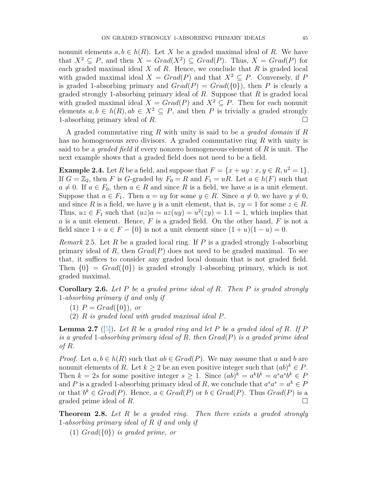nonunit elements  $a, b \in h(R)$ . Let X be a graded maximal ideal of R. We have that  $X^2 \subseteq P$ , and then  $X = Grad(X^2) \subseteq Grad(P)$ . Thus,  $X = Grad(P)$  for each graded maximal ideal *X* of *R*. Hence, we conclude that *R* is graded local with graded maximal ideal  $X = Grad(P)$  and that  $X^2 \subseteq P$ . Conversely, if P is graded 1-absorbing primary and  $Grad(P) = Grad({0})$ , then *P* is clearly a graded strongly 1-absorbing primary ideal of *R*. Suppose that *R* is graded local with graded maximal ideal  $X = Grad(P)$  and  $X^2 \subseteq P$ . Then for each nonunity elements  $a, b \in h(R), ab \in X^2 \subseteq P$ , and then *P* is trivially a graded strongly 1-absorbing primary ideal of  $R$ .

A graded commutative ring *R* with unity is said to be a *graded domain* if *R* has no homogeneous zero divisors. A graded commutative ring *R* with unity is said to be a *graded field* if every nonzero homogeneous element of *R* is unit. The next example shows that a graded field does not need to be a field.

**Example 2.4.** Let *R* be a field, and suppose that  $F = \{x + uy : x, y \in R, u^2 = 1\}$ . If  $G = \mathbb{Z}_2$ , then *F* is *G*-graded by  $F_0 = R$  and  $F_1 = uR$ . Let  $a \in h(F)$  such that  $a \neq 0$ . If  $a \in F_0$ , then  $a \in R$  and since R is a field, we have a is a unit element. Suppose that  $a \in F_1$ . Then  $a = uy$  for some  $y \in R$ . Since  $a \neq 0$ , we have  $y \neq 0$ , and since *R* is a field, we have *y* is a unit element, that is,  $zy = 1$  for some  $z \in R$ . Thus,  $uz \in F_1$  such that  $(uz)a = uz(uy) = u^2(zy) = 1.1 = 1$ , which implies that *a* is a unit element. Hence, *F* is a graded field. On the other hand, *F* is not a field since  $1 + u \in F - \{0\}$  is not a unit element since  $(1 + u)(1 - u) = 0$ .

*Remark* 2.5*.* Let *R* be a graded local ring. If *P* is a graded strongly 1-absorbing primary ideal of *R*, then *Grad*(*P*) does not need to be graded maximal. To see that, it suffices to consider any graded local domain that is not graded field. Then  $\{0\}$  =  $Grad(\{0\})$  is graded strongly 1-absorbing primary, which is not graded maximal.

<span id="page-3-1"></span>**Corollary 2.6.** *Let P be a graded prime ideal of R. Then P is graded strongly* 1*-absorbing primary if and only if*

- $(1)$   $P = Grad({0})$ *, or*
- (2) *R is graded local with graded maximal ideal P.*

<span id="page-3-0"></span>**Lemma 2.7** ([[5\]](#page-10-7))**.** *Let R be a graded ring and let P be a graded ideal of R. If P is a graded* 1*-absorbing primary ideal of R, then Grad*(*P*) *is a graded prime ideal of R.*

*Proof.* Let  $a, b \in h(R)$  such that  $ab \in Grad(P)$ . We may assume that  $a$  and  $b$  are nonunit elements of *R*. Let  $k \geq 2$  be an even positive integer such that  $(ab)^k \in P$ . Then  $k = 2s$  for some positive integer  $s \geq 1$ . Since  $(ab)^k = a^k b^k = a^s a^s b^k \in P$ and *P* is a graded 1-absorbing primary ideal of *R*, we conclude that  $a^s a^s = a^k \in P$ or that  $b^k \in Grad(P)$ . Hence,  $a \in Grad(P)$  or  $b \in Grad(P)$ . Thus  $Grad(P)$  is a graded prime ideal of  $R$ .  $\Box$ 

<span id="page-3-2"></span>**Theorem 2.8.** *Let R be a graded ring. Then there exists a graded strongly* 1*-absorbing primary ideal of R if and only if*

(1) *Grad*(*{*0*}*) *is graded prime, or*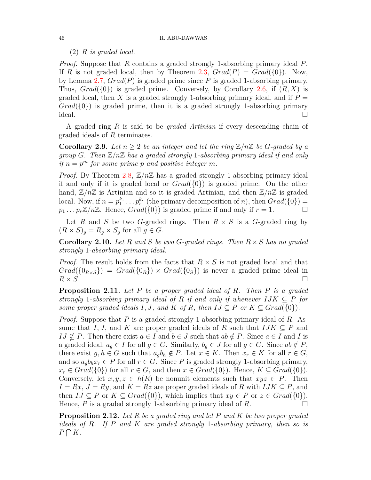# (2) *R is graded local.*

*Proof.* Suppose that *R* contains a graded strongly 1-absorbing primary ideal *P*. If *R* is not graded local, then by Theorem [2.3](#page-2-0),  $Grad(P) = Grad({0})$ . Now, by Lemma [2.7](#page-3-0), *Grad*(*P*) is graded prime since *P* is graded 1-absorbing primary. Thus,  $Grad({0})$  is graded prime. Conversely, by Corollary [2.6,](#page-3-1) if  $(R, X)$  is graded local, then X is a graded strongly 1-absorbing primary ideal, and if  $P =$  $Grad({0})$  is graded prime, then it is a graded strongly 1-absorbing primary ideal.  $\Box$ 

A graded ring *R* is said to be *graded Artinian* if every descending chain of graded ideals of *R* terminates.

**Corollary 2.9.** Let  $n \geq 2$  be an integer and let the ring  $\mathbb{Z}/n\mathbb{Z}$  be G-graded by a *group G. Then* Z*/n*Z *has a graded strongly* 1*-absorbing primary ideal if and only if*  $n = p^m$  *for some prime p and positive integer m.* 

*Proof.* By Theorem [2.8](#page-3-2),  $\mathbb{Z}/n\mathbb{Z}$  has a graded strongly 1-absorbing primary ideal if and only if it is graded local or *Grad*(*{*0*}*) is graded prime. On the other hand,  $\mathbb{Z}/n\mathbb{Z}$  is Artinian and so it is graded Artinian, and then  $\mathbb{Z}/n\mathbb{Z}$  is graded local. Now, if  $n = p_1^{k_1} \dots p_r^{k_r}$  (the primary decomposition of *n*), then  $Grad({0})$  =  $p_1 \ldots p_r \mathbb{Z}/n\mathbb{Z}$ . Hence,  $Grad({0})$  is graded prime if and only if  $r = 1$ . □

Let *R* and *S* be two *G*-graded rings. Then  $R \times S$  is a *G*-graded ring by  $(R \times S)_q = R_q \times S_q$  for all  $q \in G$ .

**Corollary 2.10.** *Let R and S be two G-graded rings. Then R × S has no graded strongly* 1*-absorbing primary ideal.*

*Proof.* The result holds from the facts that *R × S* is not graded local and that  $Grad({0_{R \times S}}) = Grad({0_{R}}) \times Grad({0_{S}})$  is never a graded prime ideal in  $R \times S$ .  $R \times S$ .

**Proposition 2.11.** *Let P be a proper graded ideal of R. Then P is a graded strongly* 1-absorbing primary ideal of  $R$  if and only if whenever  $IJK \subseteq P$  for *some proper graded ideals*  $I, J$ *, and*  $K$  *of*  $R$ *, then*  $IJ \subseteq P$  *or*  $K \subseteq Grad({0})$ *.* 

*Proof.* Suppose that *P* is a graded strongly 1-absorbing primary ideal of *R*. Assume that *I, J,* and *K* are proper graded ideals of *R* such that  $IJK \subseteq P$  and  $IJ \nsubseteq P$ . Then there exist  $a \in I$  and  $b \in J$  such that  $ab \notin P$ . Since  $a \in I$  and *I* is a graded ideal,  $a_g \in I$  for all  $g \in G$ . Similarly,  $b_g \in J$  for all  $g \in G$ . Since  $ab \notin P$ , there exist  $g, h \in G$  such that  $a_q b_h \notin P$ . Let  $x \in K$ . Then  $x_r \in K$  for all  $r \in G$ , and so  $a_qb_hx_r \in P$  for all  $r \in G$ . Since P is graded strongly 1-absorbing primary,  $x_r \in Grad({0})$  for all  $r \in G$ , and then  $x \in Grad({0})$ . Hence,  $K \subseteq Grad({0})$ . Conversely, let  $x, y, z \in h(R)$  be nonunit elements such that  $xyz \in P$ . Then  $I = Rx, J = Ry$ , and  $K = Rz$  are proper graded ideals of R with  $IJK \subseteq P$ , and then  $IJ \subseteq P$  or  $K \subseteq Grad({0})$ , which implies that  $xy \in P$  or  $z \in Grad({0})$ . Hence,  $P$  is a graded strongly 1-absorbing primary ideal of  $R$ . □

**Proposition 2.12.** *Let R be a graded ring and let P and K be two proper graded ideals of R. If P and K are graded strongly* 1*-absorbing primary, then so is P* ∩ *K.*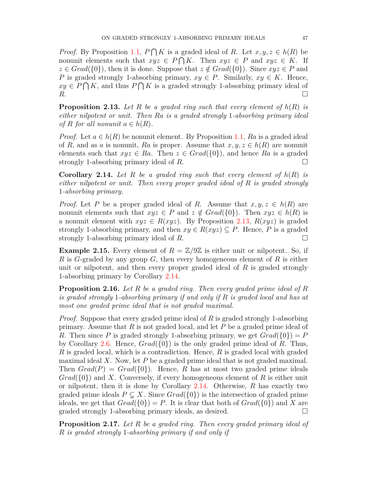*Proof.* By Proposition [1.1](#page-1-0),  $P \cap K$  is a graded ideal of *R*. Let  $x, y, z \in h(R)$  be nonunit elements such that  $xyz \in P \cap K$ . Then  $xyz \in P$  and  $xyz \in K$ . If  $z \in Grad({0})$ , then it is done. Suppose that  $z \notin Grad({0})$ . Since  $xyz \in P$  and *P* is graded strongly 1-absorbing primary,  $xy \in P$ . Similarly,  $xy \in K$ . Hence,  $xy \in P \cap K$ , and thus  $P \cap K$  is a graded strongly 1-absorbing primary ideal of  $R$ .

<span id="page-5-0"></span>**Proposition 2.13.** *Let R be a graded ring such that every element of h*(*R*) *is either nilpotent or unit. Then Ra is a graded strongly* 1*-absorbing primary ideal of*  $R$  *for all nonunit*  $a \in h(R)$ *.* 

*Proof.* Let  $a \in h(R)$  be nonunit element. By Proposition [1.1,](#page-1-0) Ra is a graded ideal of *R*, and as *a* is nonunit, *Ra* is proper. Assume that  $x, y, z \in h(R)$  are nonunit elements such that  $xyz \in Ra$ . Then  $z \in Grad({0})$ , and hence Ra is a graded strongly 1-absorbing primary ideal of  $R$ .  $\Box$ 

<span id="page-5-1"></span>**Corollary 2.14.** *Let R be a graded ring such that every element of h*(*R*) *is either nilpotent or unit. Then every proper graded ideal of R is graded strongly* 1*-absorbing primary.*

*Proof.* Let *P* be a proper graded ideal of *R*. Assume that  $x, y, z \in h(R)$  are nonunit elements such that  $xyz \in P$  and  $z \notin Grad({0})$ . Then  $xyz \in h(R)$  is a nonunit element with  $xyz \in R(xyz)$ . By Proposition [2.13](#page-5-0),  $R(xyz)$  is graded strongly 1-absorbing primary, and then  $xy \in R(xyz) \subseteq P$ . Hence, *P* is a graded strongly 1-absorbing primary ideal of  $R$ .  $\Box$ 

**Example 2.15.** Every element of  $R = \mathbb{Z}/9\mathbb{Z}$  is either unit or nilpotent. So, if *R* is *G*-graded by any group *G*, then every homogeneous element of *R* is either unit or nilpotent, and then every proper graded ideal of *R* is graded strongly 1-absorbing primary by Corollary [2.14.](#page-5-1)

<span id="page-5-2"></span>**Proposition 2.16.** *Let R be a graded ring. Then every graded prime ideal of R is graded strongly* 1*-absorbing primary if and only if R is graded local and has at most one graded prime ideal that is not graded maximal.*

*Proof.* Suppose that every graded prime ideal of *R* is graded strongly 1-absorbing primary. Assume that *R* is not graded local, and let *P* be a graded prime ideal of *R*. Then since *P* is graded strongly 1-absorbing primary, we get  $Grad({0}) = P$ by Corollary [2.6.](#page-3-1) Hence, *Grad*(*{*0*}*) is the only graded prime ideal of *R*. Thus, *R* is graded local, which is a contradiction. Hence, *R* is graded local with graded maximal ideal *X*. Now, let *P* be a graded prime ideal that is not graded maximal. Then  $Grad(P) = Grad({0})$ . Hence, *R* has at most two graded prime ideals *Grad*(*{*0*}*) and *X*. Conversely, if every homogeneous element of *R* is either unit or nilpotent, then it is done by Corollary [2.14.](#page-5-1) Otherwise, *R* has exactly two graded prime ideals  $P \subseteq X$ . Since  $Grad({0})$  is the intersection of graded prime ideals, we get that  $Grad({0}) = P$ . It is clear that both of  $Grad({0})$  and X are graded strongly 1-absorbing primary ideals, as desired.  $\Box$ 

**Proposition 2.17.** *Let R be a graded ring. Then every graded primary ideal of R is graded strongly* 1*-absorbing primary if and only if*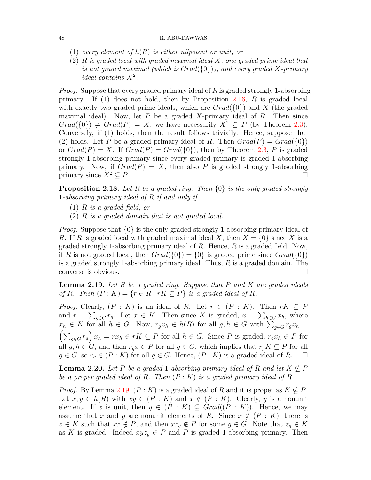#### 48 R. ABU-DAWWAS

- (1) *every element of h*(*R*) *is either nilpotent or unit, or*
- (2) *R is graded local with graded maximal ideal X, one graded prime ideal that is not graded maximal (which is Grad*(*{*0*}*)*), and every graded X-primary ideal contains*  $X^2$ .

*Proof.* Suppose that every graded primary ideal of *R* is graded strongly 1-absorbing primary. If (1) does not hold, then by Proposition [2.16,](#page-5-2) *R* is graded local with exactly two graded prime ideals, which are *Grad*(*{*0*}*) and *X* (the graded maximal ideal). Now, let *P* be a graded *X*-primary ideal of *R*. Then since  $Grad({0}) \neq Grad(P) = X$ , we have necessarily  $X^2 \subseteq P$  (by Theorem [2.3](#page-2-0)). Conversely, if (1) holds, then the result follows trivially. Hence, suppose that (2) holds. Let P be a graded primary ideal of R. Then  $Grad(P) = Grad({0})$ or  $Grad(P) = X$ . If  $Grad(P) = Grad({0})$ , then by Theorem [2.3](#page-2-0), P is graded strongly 1-absorbing primary since every graded primary is graded 1-absorbing primary. Now, if  $Grad(P) = X$ , then also P is graded strongly 1-absorbing primary since  $X^2 \subseteq P$ .

**Proposition 2.18.** *Let R be a graded ring. Then {*0*} is the only graded strongly* 1*-absorbing primary ideal of R if and only if*

- (1) *R is a graded field, or*
- (2) *R is a graded domain that is not graded local.*

*Proof.* Suppose that *{*0*}* is the only graded strongly 1-absorbing primary ideal of *R*. If *R* is graded local with graded maximal ideal *X*, then  $X = \{0\}$  since *X* is a graded strongly 1-absorbing primary ideal of *R*. Hence, *R* is a graded field. Now, if *R* is not graded local, then  $Grad({0}) = {0}$  is graded prime since  $Grad({0})$ is a graded strongly 1-absorbing primary ideal. Thus, *R* is a graded domain. The converse is obvious. □

<span id="page-6-0"></span>**Lemma 2.19.** *Let R be a graded ring. Suppose that P and K are graded ideals of R. Then*  $(P: K) = \{r \in R : rK \subseteq P\}$  *is a graded ideal of R.* 

*Proof.* Clearly,  $(P: K)$  is an ideal of *R*. Let  $r \in (P: K)$ . Then  $rK \subseteq P$ and  $r = \sum_{g \in G} r_g$ . Let  $x \in K$ . Then since  $K$  is graded,  $x = \sum_{h \in G} x_h$ , where  $x_h \in K$  for all  $h \in G$ . Now,  $r_g x_h \in h(R)$  for all  $g, h \in G$  with  $\sum_{g \in G} r_g x_h =$  $\left(\sum_{g\in G} r_g\right)x_h = rx_h \in rK \subseteq P$  for all  $h \in G$ . Since P is graded,  $r_gx_h \in P$  for all  $g, h \in G$ , and then  $r_g x \in P$  for all  $g \in G$ , which implies that  $r_g K \subseteq P$  for all  $g \in G$ , so  $r_g \in (P : K)$  for all  $g \in G$ . Hence,  $(P : K)$  is a graded ideal of *R*.

<span id="page-6-1"></span>**Lemma 2.20.** *Let*  $P$  *be a graded* 1*-absorbing primary ideal of*  $R$  *and let*  $K \nsubseteq P$ *be a proper graded ideal of R. Then* (*P* : *K*) *is a graded primary ideal of R.*

*Proof.* By Lemma [2.19](#page-6-0),  $(P: K)$  is a graded ideal of R and it is proper as  $K \nsubseteq P$ . Let  $x, y \in h(R)$  with  $xy \in (P : K)$  and  $x \notin (P : K)$ . Clearly, *y* is a nonunit element. If *x* is unit, then  $y \in (P : K) \subseteq Grad((P : K))$ . Hence, we may assume that *x* and *y* are nonunit elements of *R*. Since  $x \notin (P: K)$ , there is  $z \in K$  such that  $xz \notin P$ , and then  $xz_g \notin P$  for some  $g \in G$ . Note that  $z_g \in K$ as *K* is graded. Indeed  $xyz_q \in P$  and *P* is graded 1-absorbing primary. Then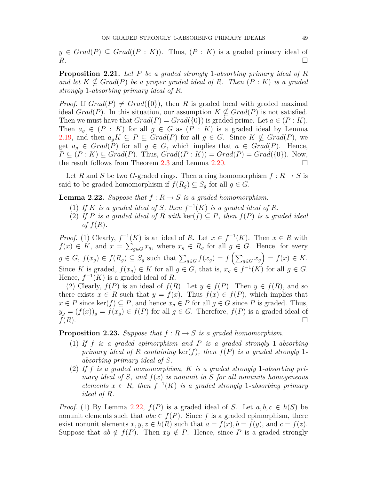$y \in Grad(P) \subseteq Grad((P: K))$ . Thus,  $(P: K)$  is a graded primary ideal of  $R$ .

**Proposition 2.21.** *Let P be a graded strongly* 1*-absorbing primary ideal of R and let*  $K \nsubseteq Grad(P)$  *be a proper graded ideal of*  $R$ *. Then*  $(P: K)$  *is a graded strongly* 1*-absorbing primary ideal of R.*

*Proof.* If  $Grad(P) \neq Grad({0})$ , then *R* is graded local with graded maximal ideal *Grad*(*P*). In this situation, our assumption  $K \nsubseteq Grad(P)$  is not satisfied. Then we must have that  $Grad(P) = Grad({0})$  is graded prime. Let  $a \in (P: K)$ . Then  $a_g \in (P : K)$  for all  $g \in G$  as  $(P : K)$  is a graded ideal by Lemma [2.19](#page-6-0), and then  $a_q K \subseteq P \subseteq Grad(P)$  for all  $q \in G$ . Since  $K \nsubseteq Grad(P)$ , we get  $a_q \in Grad(P)$  for all  $g \in G$ , which implies that  $a \in Grad(P)$ . Hence,  $P \subseteq (P : K) \subseteq Grad(P)$ . Thus,  $Grad((P : K)) = Grad(P) = Grad({0})$ . Now, the result follows from Theorem [2.3](#page-2-0) and Lemma [2.20.](#page-6-1)  $\Box$ 

Let *R* and *S* be two *G*-graded rings. Then a ring homomorphism  $f: R \to S$  is said to be graded homomorphism if  $f(R_q) \subseteq S_q$  for all  $g \in G$ .

<span id="page-7-0"></span>**Lemma 2.22.** *Suppose that*  $f: R \rightarrow S$  *is a graded homomorphism.* 

- (1) If *K* is a graded ideal of *S*, then  $f^{-1}(K)$  is a graded ideal of *R*.
- (2) If *P* is a graded ideal of *R* with  $\text{ker}(f) \subseteq P$ *, then*  $f(P)$  is a graded ideal *of f*(*R*)*.*

*Proof.* (1) Clearly,  $f^{-1}(K)$  is an ideal of *R*. Let  $x \in f^{-1}(K)$ . Then  $x \in R$  with *f*(*x*)  $\in$  *K*, and *x* =  $\sum_{g \in G} x_g$ , where *x<sub>g</sub>*  $\in$  *R<sub>g</sub>* for all *g*  $\in$  *G*. Hence, for every  $g \in G$ ,  $f(x_g) \in f(R_g) \subseteq S_g$  such that  $\sum_{g \in G} f(x_g) = f(\sum_{g \in G} x_g) = f(x) \in K$ . Since *K* is graded,  $f(x_g) \in K$  for all  $g \in G$ , that is,  $x_g \in f^{-1}(K)$  for all  $g \in G$ . Hence,  $f^{-1}(K)$  is a graded ideal of R.

(2) Clearly,  $f(P)$  is an ideal of  $f(R)$ . Let  $y \in f(P)$ . Then  $y \in f(R)$ , and so there exists  $x \in R$  such that  $y = f(x)$ . Thus  $f(x) \in f(P)$ , which implies that *x*  $∈$  *P* since ker(*f*)  $⊆$  *P*, and hence  $x_q ∈ P$  for all  $q ∈ G$  since *P* is graded. Thus,  $y_g = (f(x))_g = f(x_g) \in f(P)$  for all  $g \in G$ . Therefore,  $f(P)$  is a graded ideal of  $f(R)$ .

<span id="page-7-1"></span>**Proposition 2.23.** *Suppose that*  $f: R \rightarrow S$  *is a graded homomorphism.* 

- (1) *If f is a graded epimorphism and P is a graded strongly* 1*-absorbing primary ideal of R containing*  $\ker(f)$ *, then*  $f(P)$  *is a graded strongly* 1*absorbing primary ideal of S.*
- (2) *If f is a graded monomorphism, K is a graded strongly* 1*-absorbing primary ideal of S, and f*(*x*) *is nonunit in S for all nonunits homogeneous elements*  $x \in R$ *, then*  $f^{-1}(K)$  *is a graded strongly* 1*-absorbing primary ideal of R.*

*Proof.* (1) By Lemma [2.22,](#page-7-0)  $f(P)$  is a graded ideal of *S*. Let  $a, b, c \in h(S)$  be nonunit elements such that  $abc \in f(P)$ . Since f is a graded epimorphism, there exist nonunit elements  $x, y, z \in h(R)$  such that  $a = f(x), b = f(y)$ , and  $c = f(z)$ . Suppose that  $ab \notin f(P)$ . Then  $xy \notin P$ . Hence, since P is a graded strongly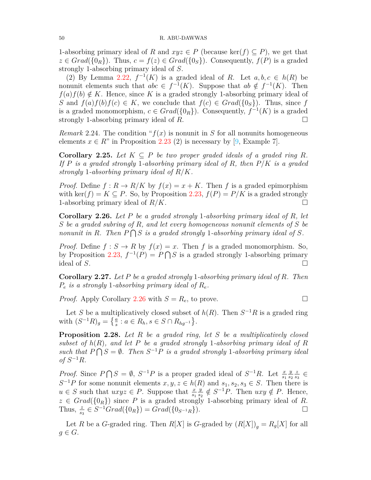1-absorbing primary ideal of *R* and  $xyz \in P$  (because ker(*f*)  $\subseteq P$ ), we get that  $z \in Grad({0_R})$ . Thus,  $c = f(z) \in Grad({0_S})$ . Consequently,  $f(P)$  is a graded strongly 1-absorbing primary ideal of *S*.

(2) By Lemma [2.22,](#page-7-0)  $f^{-1}(K)$  is a graded ideal of *R*. Let  $a, b, c \in h(R)$  be nonunit elements such that  $abc \in f^{-1}(K)$ . Suppose that  $ab \notin f^{-1}(K)$ . Then  $f(a) f(b) \notin K$ . Hence, since K is a graded strongly 1-absorbing primary ideal of *S* and  $f(a)f(b)f(c) \in K$ , we conclude that  $f(c) \in Grad({0s})$ . Thus, since *f* is a graded monomorphism,  $c \in Grad({0_R})$ . Consequently,  $f^{-1}(K)$  is a graded strongly 1-absorbing primary ideal of  $R$ .  $\Box$ 

*Remark* 2.24. The condition " $f(x)$  is nonunit in *S* for all nonunits homogeneous elements  $x \in R$ " in Proposition [2.23](#page-7-1) (2) is necessary by [\[9,](#page-10-12) Example 7].

**Corollary 2.25.** Let  $K \subseteq P$  be two proper graded ideals of a graded ring R. *If P is a graded strongly* 1*-absorbing primary ideal of R, then P/K is a graded strongly* 1*-absorbing primary ideal of R/K.*

*Proof.* Define  $f: R \to R/K$  by  $f(x) = x + K$ . Then f is a graded epimorphism with ker( $f$ ) =  $K \subseteq P$ . So, by Proposition [2.23,](#page-7-1)  $f(P) = P/K$  is a graded strongly 1-absorbing primary ideal of  $R/K$ .

<span id="page-8-0"></span>**Corollary 2.26.** *Let P be a graded strongly* 1*-absorbing primary ideal of R, let S be a graded subring of R, and let every homogeneous nonunit elements of S be nonunit in R.* Then  $P \bigcap S$  *is a graded strongly* 1-absorbing primary ideal of *S.* 

*Proof.* Define  $f : S \to R$  by  $f(x) = x$ . Then *f* is a graded monomorphism. So, by Proposition [2.23](#page-7-1),  $f^{-1}(P) = P \cap S$  is a graded strongly 1-absorbing primary ideal of *S*.  $\Box$ 

**Corollary 2.27.** *Let P be a graded strongly* 1*-absorbing primary ideal of R. Then P<sup>e</sup> is a strongly* 1*-absorbing primary ideal of Re.*

*Proof.* Apply Corollary [2.26](#page-8-0) with  $S = R_e$ , to prove. □

Let *S* be a multiplicatively closed subset of  $h(R)$ . Then  $S^{-1}R$  is a graded ring with  $(S^{-1}R)_g = \left\{ \frac{a}{s} : a \in R_h, s \in S \cap R_{hg^{-1}} \right\}.$ 

**Proposition 2.28.** *Let R be a graded ring, let S be a multiplicatively closed subset of*  $h(R)$ *, and let P be a graded strongly* 1-absorbing primary ideal of R such that  $\widehat{P} \cap S = ∅$ . Then  $S^{-1}P$  is a graded strongly 1-absorbing primary ideal  $of S^{-1}R$ *.* 

*Proof.* Since  $P \cap S = \emptyset$ ,  $S^{-1}P$  is a proper graded ideal of  $S^{-1}R$ . Let  $\frac{x}{s_1}$ *y s*2 *z s*3 *∈*  $S^{-1}P$  for some nonunit elements  $x, y, z \in h(R)$  and  $s_1, s_2, s_3 \in S$ . Then there is  $u \in S$  such that  $uxyz \in P$ . Suppose that  $\frac{x}{s_1}$ *y*  $\frac{y}{s_2}$  ∉ *S*<sup>−1</sup>*P*. Then *uxy* ∉ *P*. Hence,  $z \in Grad({0_R})$  since *P* is a graded strongly 1-absorbing primary ideal of *R*. Thus,  $\frac{z}{s_3}$  ∈  $S^{-1}Grad({0_R}) = Grad({0_{S^{-1}R}})$ . □

Let *R* be a *G*-graded ring. Then  $R[X]$  is *G*-graded by  $(R[X])_g = R_g[X]$  for all  $g \in G$ .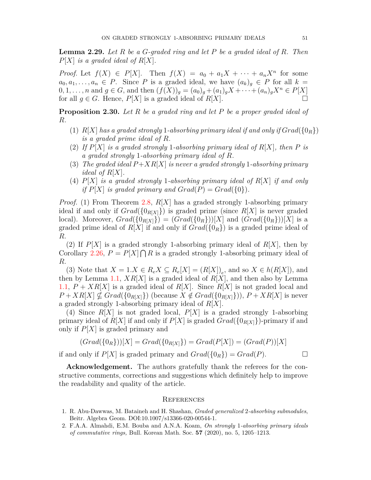**Lemma 2.29.** *Let R be a G-graded ring and let P be a graded ideal of R. Then P*[*X*] *is a graded ideal of R*[*X*]*.*

*Proof.* Let  $f(X) \in P[X]$ . Then  $f(X) = a_0 + a_1 X + \cdots + a_n X^n$  for some  $a_0, a_1, \ldots, a_n \in P$ . Since *P* is a graded ideal, we have  $(a_k)_g \in P$  for all  $k =$  $0, 1, \ldots, n$  and  $g \in G$ , and then  $(f(X))_g = (a_0)_g + (a_1)_g X + \cdots + (a_n)_g X^n \in P[X]$ for all  $g \in G$ . Hence,  $P[X]$  is a graded ideal of  $R[X]$ .

**Proposition 2.30.** *Let R be a graded ring and let P be a proper graded ideal of R.*

- (1)  $R[X]$  has a graded strongly 1-absorbing primary ideal if and only if  $Grad({0_R})$ *is a graded prime ideal of R.*
- (2) *If P*[*X*] *is a graded strongly* 1*-absorbing primary ideal of R*[*X*]*, then P is a graded strongly* 1*-absorbing primary ideal of R.*
- (3) *The graded ideal*  $P+XR[X]$  *is never a graded strongly* 1*-absorbing primary ideal of R*[*X*]*.*
- (4) *P*[*X*] *is a graded strongly* 1*-absorbing primary ideal of R*[*X*] *if and only if*  $P[X]$  *is graded primary and*  $Grad(P) = Grad({0}).$

*Proof.* (1) From Theorem [2.8,](#page-3-2) *R*[*X*] has a graded strongly 1-absorbing primary ideal if and only if  $Grad({0_{R[X]}})$  is graded prime (since  $R[X]$  is never graded local). Moreover,  $Grad({0_R[x]}) = (Grad({0_R}))[X]$  and  $(Grad({0_R}))[X]$  is a graded prime ideal of  $R[X]$  if and only if  $Grad({0_R})$  is a graded prime ideal of *R*.

(2) If  $P[X]$  is a graded strongly 1-absorbing primary ideal of  $R[X]$ , then by Corollary [2.26,](#page-8-0)  $P = P[X] \bigcap R$  is a graded strongly 1-absorbing primary ideal of *R*.

(3) Note that  $X = 1 \, X \in R_e X \subseteq R_e[X] = (R[X])_e$ , and so  $X \in h(R[X])$ , and then by Lemma [1.1](#page-1-0), *XR*[*X*] is a graded ideal of *R*[*X*], and then also by Lemma [1.1](#page-1-0),  $P + XR[X]$  is a graded ideal of  $R[X]$ . Since  $R[X]$  is not graded local and  $P + XR[X] \nsubseteq Grad(\{0_{R[X]}\})$  (because  $X \notin Grad(\{0_{R[X]}\})$ ),  $P + XR[X]$  is never a graded strongly 1-absorbing primary ideal of *R*[*X*].

(4) Since *R*[*X*] is not graded local, *P*[*X*] is a graded strongly 1-absorbing primary ideal of  $R[X]$  if and only if  $P[X]$  is graded  $Grad({0_{R[X]}})$ -primary if and only if *P*[*X*] is graded primary and

$$
(Grad({0_R}))[X] = Grad({0_{R[X]}}) = Grad(P[X]) = (Grad(P))[X])
$$

if and only if  $P[X]$  is graded primary and  $Grad({0_R}) = Grad(P)$ .

**Acknowledgement.** The authors gratefully thank the referees for the constructive comments, corrections and suggestions which definitely help to improve the readability and quality of the article.

## **REFERENCES**

- <span id="page-9-0"></span>1. R. Abu-Dawwas, M. Bataineh and H. Shashan, *Graded generalized* 2*-absorbing submodules*, Beitr. Algebra Geom. DOI:10.1007/s13366-020-00544-1.
- <span id="page-9-1"></span>2. F.A.A. Almahdi, E.M. Bouba and A.N.A. Koam, *On strongly* 1*-absorbing primary ideals of commutative rings,* Bull. Korean Math. Soc. **57** (2020), no. 5, 1205–1213.